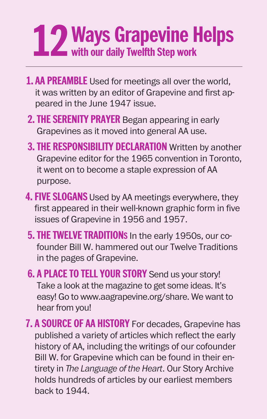## **Ways Grapevine Helps 12 with our daily Twelfth Step work**

- **1. AA PREAMBLE** Used for meetings all over the world, it was written by an editor of Grapevine and first appeared in the June 1947 issue.
- **2. THE SERENITY PRAYER** Began appearing in early Grapevines as it moved into general AA use.
- **3. THE RESPONSIBILITY DECLARATION** Written by another Grapevine editor for the 1965 convention in Toronto, it went on to become a staple expression of AA purpose.
- **4. FIVE SLOGANS** Used by AA meetings everywhere, they first appeared in their well-known graphic form in five issues of Grapevine in 1956 and 1957.
- **5. THE TWELVE TRADITIONS** In the early 1950s, our cofounder Bill W. hammered out our Twelve Traditions in the pages of Grapevine.
- **6. A PLACE TO TELL YOUR STORY** Send us your story! Take a look at the magazine to get some ideas. It's easy! Go to www.aagrapevine.org/share. We want to hear from you!
- **7. A SOURCE OF AA HISTORY** For decades, Grapevine has published a variety of articles which reflect the early history of AA, including the writings of our cofounder Bill W. for Grapevine which can be found in their entirety in *The Language of the Heart*. Our Story Archive holds hundreds of articles by our earliest members back to 1944.